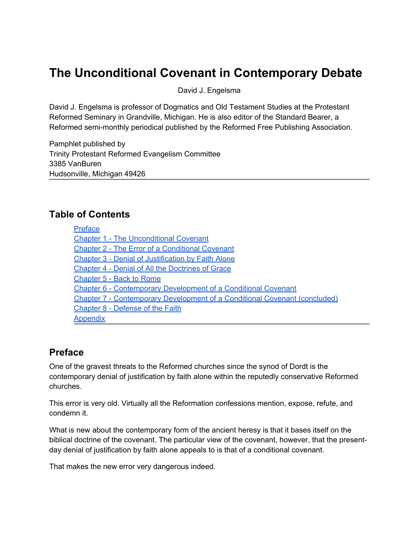# **The Unconditional Covenant in Contemporary Debate**

David J. Engelsma

David J. Engelsma is professor of Dogmatics and Old Testament Studies at the Protestant Reformed Seminary in Grandville, Michigan. He is also editor of the Standard Bearer, a Reformed semi-monthly periodical published by the Reformed Free Publishing Association.

Pamphlet published by Trinity Protestant Reformed Evangelism Committee 3385 VanBuren Hudsonville, Michigan 49426

## **Table of Contents**

| <b>Preface</b>                                                                    |
|-----------------------------------------------------------------------------------|
| <b>Chapter 1 - The Unconditional Covenant</b>                                     |
| <b>Chapter 2 - The Error of a Conditional Covenant</b>                            |
| <b>Chapter 3 - Denial of Justification by Faith Alone</b>                         |
| <b>Chapter 4 - Denial of All the Doctrines of Grace</b>                           |
| Chapter 5 - Back to Rome                                                          |
| Chapter 6 - Contemporary Development of a Conditional Covenant                    |
| <b>Chapter 7 - Contemporary Development of a Conditional Covenant (concluded)</b> |
| Chapter 8 - Defense of the Faith                                                  |
| <b>Appendix</b>                                                                   |

# **Preface**

One of the gravest threats to the Reformed churches since the synod of Dordt is the contemporary denial of justification by faith alone within the reputedly conservative Reformed churches.

This error is very old. Virtually all the Reformation confessions mention, expose, refute, and condemn it.

What is new about the contemporary form of the ancient heresy is that it bases itself on the biblical doctrine of the covenant. The particular view of the covenant, however, that the presentday denial of justification by faith alone appeals to is that of a conditional covenant.

That makes the new error very dangerous indeed.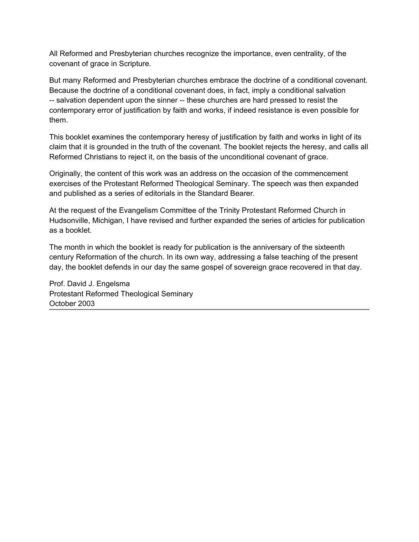All Reformed and Presbyterian churches recognize the importance, even centrality, of the covenant of grace in Scripture.

But many Reformed and Presbyterian churches embrace the doctrine of a conditional covenant. Because the doctrine of a conditional covenant does, in fact, imply a conditional salvation -- salvation dependent upon the sinner -- these churches are hard pressed to resist the contemporary error of justification by faith and works, if indeed resistance is even possible for them.

This booklet examines the contemporary heresy of justification by faith and works in light of its claim that it is grounded in the truth of the covenant. The booklet rejects the heresy, and calls all Reformed Christians to reject it, on the basis of the unconditional covenant of grace.

Originally, the content of this work was an address on the occasion of the commencement exercises of the Protestant Reformed Theological Seminary. The speech was then expanded and published as a series of editorials in the Standard Bearer.

At the request of the Evangelism Committee of the Trinity Protestant Reformed Church in Hudsonville, Michigan, I have revised and further expanded the series of articles for publication as a booklet.

The month in which the booklet is ready for publication is the anniversary of the sixteenth century Reformation of the church. In its own way, addressing a false teaching of the present day, the booklet defends in our day the same gospel of sovereign grace recovered in that day.

Prof. David J. Engelsma Protestant Reformed Theological Seminary October 2003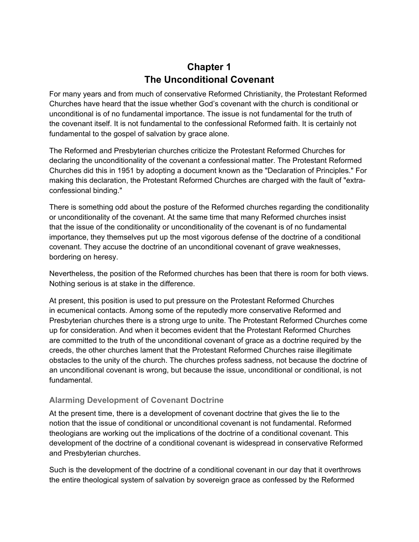# **Chapter 1 The Unconditional Covenant**

<span id="page-2-0"></span>For many years and from much of conservative Reformed Christianity, the Protestant Reformed Churches have heard that the issue whether God's covenant with the church is conditional or unconditional is of no fundamental importance. The issue is not fundamental for the truth of the covenant itself. It is not fundamental to the confessional Reformed faith. It is certainly not fundamental to the gospel of salvation by grace alone.

The Reformed and Presbyterian churches criticize the Protestant Reformed Churches for declaring the unconditionality of the covenant a confessional matter. The Protestant Reformed Churches did this in 1951 by adopting a document known as the "Declaration of Principles." For making this declaration, the Protestant Reformed Churches are charged with the fault of "extraconfessional binding."

There is something odd about the posture of the Reformed churches regarding the conditionality or unconditionality of the covenant. At the same time that many Reformed churches insist that the issue of the conditionality or unconditionality of the covenant is of no fundamental importance, they themselves put up the most vigorous defense of the doctrine of a conditional covenant. They accuse the doctrine of an unconditional covenant of grave weaknesses, bordering on heresy.

Nevertheless, the position of the Reformed churches has been that there is room for both views. Nothing serious is at stake in the difference.

At present, this position is used to put pressure on the Protestant Reformed Churches in ecumenical contacts. Among some of the reputedly more conservative Reformed and Presbyterian churches there is a strong urge to unite. The Protestant Reformed Churches come up for consideration. And when it becomes evident that the Protestant Reformed Churches are committed to the truth of the unconditional covenant of grace as a doctrine required by the creeds, the other churches lament that the Protestant Reformed Churches raise illegitimate obstacles to the unity of the church. The churches profess sadness, not because the doctrine of an unconditional covenant is wrong, but because the issue, unconditional or conditional, is not fundamental.

## **Alarming Development of Covenant Doctrine**

At the present time, there is a development of covenant doctrine that gives the lie to the notion that the issue of conditional or unconditional covenant is not fundamental. Reformed theologians are working out the implications of the doctrine of a conditional covenant. This development of the doctrine of a conditional covenant is widespread in conservative Reformed and Presbyterian churches.

Such is the development of the doctrine of a conditional covenant in our day that it overthrows the entire theological system of salvation by sovereign grace as confessed by the Reformed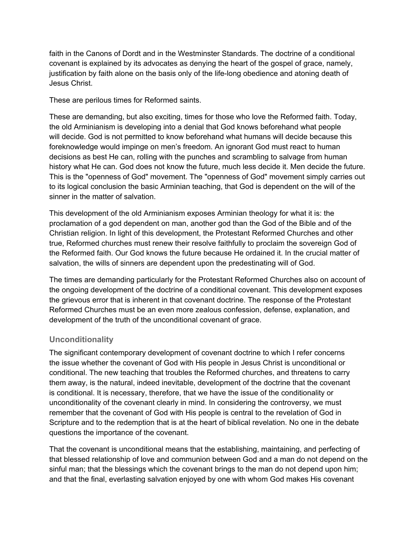faith in the Canons of Dordt and in the Westminster Standards. The doctrine of a conditional covenant is explained by its advocates as denying the heart of the gospel of grace, namely, justification by faith alone on the basis only of the life-long obedience and atoning death of Jesus Christ.

These are perilous times for Reformed saints.

These are demanding, but also exciting, times for those who love the Reformed faith. Today, the old Arminianism is developing into a denial that God knows beforehand what people will decide. God is not permitted to know beforehand what humans will decide because this foreknowledge would impinge on men's freedom. An ignorant God must react to human decisions as best He can, rolling with the punches and scrambling to salvage from human history what He can. God does not know the future, much less decide it. Men decide the future. This is the "openness of God" movement. The "openness of God" movement simply carries out to its logical conclusion the basic Arminian teaching, that God is dependent on the will of the sinner in the matter of salvation.

This development of the old Arminianism exposes Arminian theology for what it is: the proclamation of a god dependent on man, another god than the God of the Bible and of the Christian religion. In light of this development, the Protestant Reformed Churches and other true, Reformed churches must renew their resolve faithfully to proclaim the sovereign God of the Reformed faith. Our God knows the future because He ordained it. In the crucial matter of salvation, the wills of sinners are dependent upon the predestinating will of God.

The times are demanding particularly for the Protestant Reformed Churches also on account of the ongoing development of the doctrine of a conditional covenant. This development exposes the grievous error that is inherent in that covenant doctrine. The response of the Protestant Reformed Churches must be an even more zealous confession, defense, explanation, and development of the truth of the unconditional covenant of grace.

#### **Unconditionality**

The significant contemporary development of covenant doctrine to which I refer concerns the issue whether the covenant of God with His people in Jesus Christ is unconditional or conditional. The new teaching that troubles the Reformed churches, and threatens to carry them away, is the natural, indeed inevitable, development of the doctrine that the covenant is conditional. It is necessary, therefore, that we have the issue of the conditionality or unconditionality of the covenant clearly in mind. In considering the controversy, we must remember that the covenant of God with His people is central to the revelation of God in Scripture and to the redemption that is at the heart of biblical revelation. No one in the debate questions the importance of the covenant.

That the covenant is unconditional means that the establishing, maintaining, and perfecting of that blessed relationship of love and communion between God and a man do not depend on the sinful man; that the blessings which the covenant brings to the man do not depend upon him; and that the final, everlasting salvation enjoyed by one with whom God makes His covenant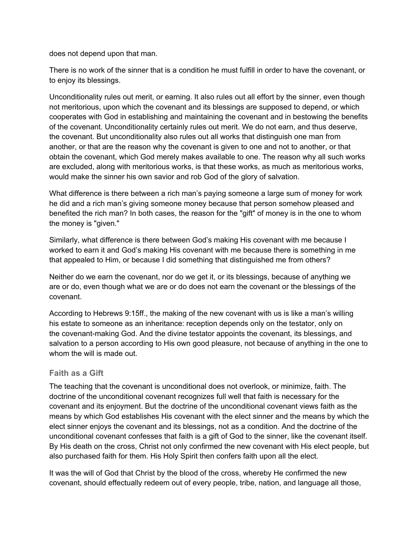does not depend upon that man.

There is no work of the sinner that is a condition he must fulfill in order to have the covenant, or to enjoy its blessings.

Unconditionality rules out merit, or earning. It also rules out all effort by the sinner, even though not meritorious, upon which the covenant and its blessings are supposed to depend, or which cooperates with God in establishing and maintaining the covenant and in bestowing the benefits of the covenant. Unconditionality certainly rules out merit. We do not earn, and thus deserve, the covenant. But unconditionality also rules out all works that distinguish one man from another, or that are the reason why the covenant is given to one and not to another, or that obtain the covenant, which God merely makes available to one. The reason why all such works are excluded, along with meritorious works, is that these works, as much as meritorious works, would make the sinner his own savior and rob God of the glory of salvation.

What difference is there between a rich man's paying someone a large sum of money for work he did and a rich man's giving someone money because that person somehow pleased and benefited the rich man? In both cases, the reason for the "gift" of money is in the one to whom the money is "given."

Similarly, what difference is there between God's making His covenant with me because I worked to earn it and God's making His covenant with me because there is something in me that appealed to Him, or because I did something that distinguished me from others?

Neither do we earn the covenant, nor do we get it, or its blessings, because of anything we are or do, even though what we are or do does not earn the covenant or the blessings of the covenant.

According to Hebrews 9:15ff., the making of the new covenant with us is like a man's willing his estate to someone as an inheritance: reception depends only on the testator, only on the covenant-making God. And the divine testator appoints the covenant, its blessings, and salvation to a person according to His own good pleasure, not because of anything in the one to whom the will is made out.

#### **Faith as a Gift**

The teaching that the covenant is unconditional does not overlook, or minimize, faith. The doctrine of the unconditional covenant recognizes full well that faith is necessary for the covenant and its enjoyment. But the doctrine of the unconditional covenant views faith as the means by which God establishes His covenant with the elect sinner and the means by which the elect sinner enjoys the covenant and its blessings, not as a condition. And the doctrine of the unconditional covenant confesses that faith is a gift of God to the sinner, like the covenant itself. By His death on the cross, Christ not only confirmed the new covenant with His elect people, but also purchased faith for them. His Holy Spirit then confers faith upon all the elect.

It was the will of God that Christ by the blood of the cross, whereby He confirmed the new covenant, should effectually redeem out of every people, tribe, nation, and language all those,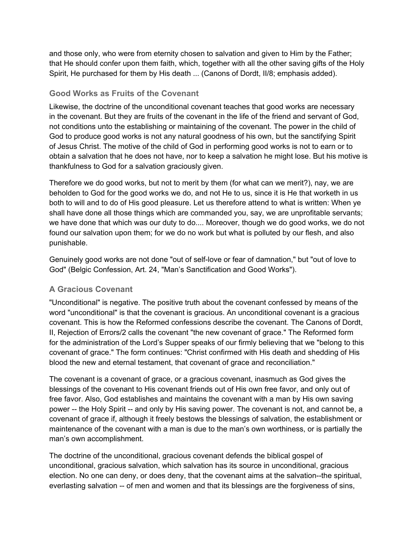and those only, who were from eternity chosen to salvation and given to Him by the Father; that He should confer upon them faith, which, together with all the other saving gifts of the Holy Spirit, He purchased for them by His death ... (Canons of Dordt, II/8; emphasis added).

### **Good Works as Fruits of the Covenant**

Likewise, the doctrine of the unconditional covenant teaches that good works are necessary in the covenant. But they are fruits of the covenant in the life of the friend and servant of God, not conditions unto the establishing or maintaining of the covenant. The power in the child of God to produce good works is not any natural goodness of his own, but the sanctifying Spirit of Jesus Christ. The motive of the child of God in performing good works is not to earn or to obtain a salvation that he does not have, nor to keep a salvation he might lose. But his motive is thankfulness to God for a salvation graciously given.

Therefore we do good works, but not to merit by them (for what can we merit?), nay, we are beholden to God for the good works we do, and not He to us, since it is He that worketh in us both to will and to do of His good pleasure. Let us therefore attend to what is written: When ye shall have done all those things which are commanded you, say, we are unprofitable servants; we have done that which was our duty to do.... Moreover, though we do good works, we do not found our salvation upon them; for we do no work but what is polluted by our flesh, and also punishable.

Genuinely good works are not done "out of self-love or fear of damnation," but "out of love to God" (Belgic Confession, Art. 24, "Man's Sanctification and Good Works").

## **A Gracious Covenant**

"Unconditional" is negative. The positive truth about the covenant confessed by means of the word "unconditional" is that the covenant is gracious. An unconditional covenant is a gracious covenant. This is how the Reformed confessions describe the covenant. The Canons of Dordt, II, Rejection of Errors/2 calls the covenant "the new covenant of grace." The Reformed form for the administration of the Lord's Supper speaks of our firmly believing that we "belong to this covenant of grace." The form continues: "Christ confirmed with His death and shedding of His blood the new and eternal testament, that covenant of grace and reconciliation."

The covenant is a covenant of grace, or a gracious covenant, inasmuch as God gives the blessings of the covenant to His covenant friends out of His own free favor, and only out of free favor. Also, God establishes and maintains the covenant with a man by His own saving power -- the Holy Spirit -- and only by His saving power. The covenant is not, and cannot be, a covenant of grace if, although it freely bestows the blessings of salvation, the establishment or maintenance of the covenant with a man is due to the man's own worthiness, or is partially the man's own accomplishment.

The doctrine of the unconditional, gracious covenant defends the biblical gospel of unconditional, gracious salvation, which salvation has its source in unconditional, gracious election. No one can deny, or does deny, that the covenant aims at the salvation--the spiritual, everlasting salvation -- of men and women and that its blessings are the forgiveness of sins,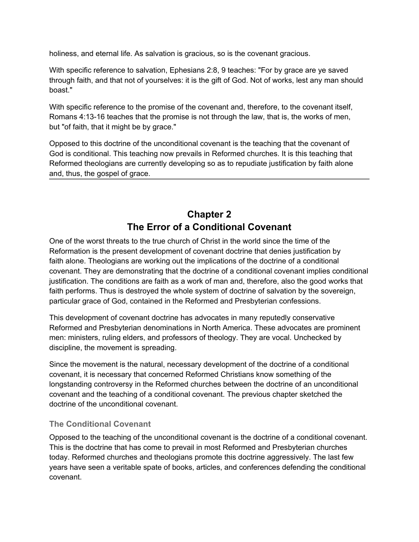<span id="page-6-0"></span>holiness, and eternal life. As salvation is gracious, so is the covenant gracious.

With specific reference to salvation, Ephesians 2:8, 9 teaches: "For by grace are ye saved through faith, and that not of yourselves: it is the gift of God. Not of works, lest any man should boast."

With specific reference to the promise of the covenant and, therefore, to the covenant itself, Romans 4:13-16 teaches that the promise is not through the law, that is, the works of men, but "of faith, that it might be by grace."

Opposed to this doctrine of the unconditional covenant is the teaching that the covenant of God is conditional. This teaching now prevails in Reformed churches. It is this teaching that Reformed theologians are currently developing so as to repudiate justification by faith alone and, thus, the gospel of grace.

# **Chapter 2 The Error of a Conditional Covenant**

One of the worst threats to the true church of Christ in the world since the time of the Reformation is the present development of covenant doctrine that denies justification by faith alone. Theologians are working out the implications of the doctrine of a conditional covenant. They are demonstrating that the doctrine of a conditional covenant implies conditional justification. The conditions are faith as a work of man and, therefore, also the good works that faith performs. Thus is destroyed the whole system of doctrine of salvation by the sovereign, particular grace of God, contained in the Reformed and Presbyterian confessions.

This development of covenant doctrine has advocates in many reputedly conservative Reformed and Presbyterian denominations in North America. These advocates are prominent men: ministers, ruling elders, and professors of theology. They are vocal. Unchecked by discipline, the movement is spreading.

Since the movement is the natural, necessary development of the doctrine of a conditional covenant, it is necessary that concerned Reformed Christians know something of the longstanding controversy in the Reformed churches between the doctrine of an unconditional covenant and the teaching of a conditional covenant. The previous chapter sketched the doctrine of the unconditional covenant.

#### **The Conditional Covenant**

Opposed to the teaching of the unconditional covenant is the doctrine of a conditional covenant. This is the doctrine that has come to prevail in most Reformed and Presbyterian churches today. Reformed churches and theologians promote this doctrine aggressively. The last few years have seen a veritable spate of books, articles, and conferences defending the conditional covenant.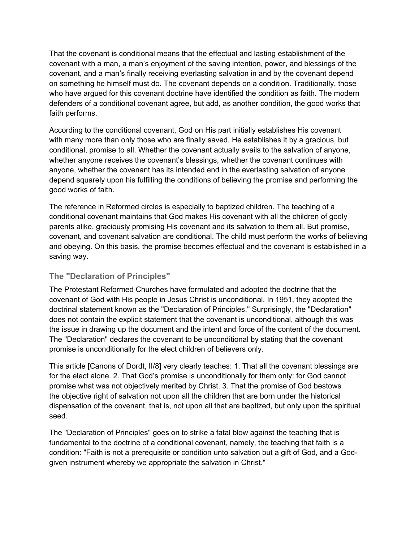That the covenant is conditional means that the effectual and lasting establishment of the covenant with a man, a man's enjoyment of the saving intention, power, and blessings of the covenant, and a man's finally receiving everlasting salvation in and by the covenant depend on something he himself must do. The covenant depends on a condition. Traditionally, those who have argued for this covenant doctrine have identified the condition as faith. The modern defenders of a conditional covenant agree, but add, as another condition, the good works that faith performs.

According to the conditional covenant, God on His part initially establishes His covenant with many more than only those who are finally saved. He establishes it by a gracious, but conditional, promise to all. Whether the covenant actually avails to the salvation of anyone, whether anyone receives the covenant's blessings, whether the covenant continues with anyone, whether the covenant has its intended end in the everlasting salvation of anyone depend squarely upon his fulfilling the conditions of believing the promise and performing the good works of faith.

The reference in Reformed circles is especially to baptized children. The teaching of a conditional covenant maintains that God makes His covenant with all the children of godly parents alike, graciously promising His covenant and its salvation to them all. But promise, covenant, and covenant salvation are conditional. The child must perform the works of believing and obeying. On this basis, the promise becomes effectual and the covenant is established in a saving way.

#### **The "Declaration of Principles"**

The Protestant Reformed Churches have formulated and adopted the doctrine that the covenant of God with His people in Jesus Christ is unconditional. In 1951, they adopted the doctrinal statement known as the "Declaration of Principles." Surprisingly, the "Declaration" does not contain the explicit statement that the covenant is unconditional, although this was the issue in drawing up the document and the intent and force of the content of the document. The "Declaration" declares the covenant to be unconditional by stating that the covenant promise is unconditionally for the elect children of believers only.

This article [Canons of Dordt, II/8] very clearly teaches: 1. That all the covenant blessings are for the elect alone. 2. That God's promise is unconditionally for them only: for God cannot promise what was not objectively merited by Christ. 3. That the promise of God bestows the objective right of salvation not upon all the children that are born under the historical dispensation of the covenant, that is, not upon all that are baptized, but only upon the spiritual seed.

The "Declaration of Principles" goes on to strike a fatal blow against the teaching that is fundamental to the doctrine of a conditional covenant, namely, the teaching that faith is a condition: "Faith is not a prerequisite or condition unto salvation but a gift of God, and a Godgiven instrument whereby we appropriate the salvation in Christ."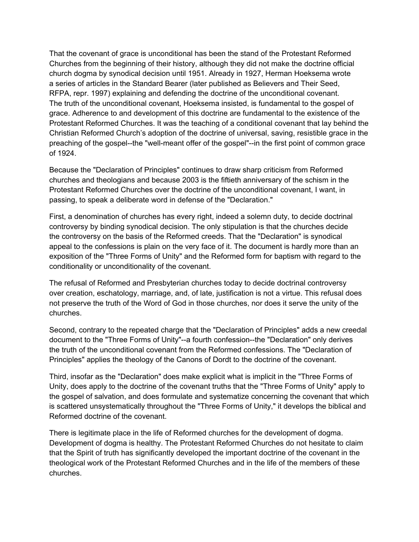That the covenant of grace is unconditional has been the stand of the Protestant Reformed Churches from the beginning of their history, although they did not make the doctrine official church dogma by synodical decision until 1951. Already in 1927, Herman Hoeksema wrote a series of articles in the Standard Bearer (later published as Believers and Their Seed, RFPA, repr. 1997) explaining and defending the doctrine of the unconditional covenant. The truth of the unconditional covenant, Hoeksema insisted, is fundamental to the gospel of grace. Adherence to and development of this doctrine are fundamental to the existence of the Protestant Reformed Churches. It was the teaching of a conditional covenant that lay behind the Christian Reformed Church's adoption of the doctrine of universal, saving, resistible grace in the preaching of the gospel--the "well-meant offer of the gospel"--in the first point of common grace of 1924.

Because the "Declaration of Principles" continues to draw sharp criticism from Reformed churches and theologians and because 2003 is the fiftieth anniversary of the schism in the Protestant Reformed Churches over the doctrine of the unconditional covenant, I want, in passing, to speak a deliberate word in defense of the "Declaration."

First, a denomination of churches has every right, indeed a solemn duty, to decide doctrinal controversy by binding synodical decision. The only stipulation is that the churches decide the controversy on the basis of the Reformed creeds. That the "Declaration" is synodical appeal to the confessions is plain on the very face of it. The document is hardly more than an exposition of the "Three Forms of Unity" and the Reformed form for baptism with regard to the conditionality or unconditionality of the covenant.

The refusal of Reformed and Presbyterian churches today to decide doctrinal controversy over creation, eschatology, marriage, and, of late, justification is not a virtue. This refusal does not preserve the truth of the Word of God in those churches, nor does it serve the unity of the churches.

Second, contrary to the repeated charge that the "Declaration of Principles" adds a new creedal document to the "Three Forms of Unity"--a fourth confession--the "Declaration" only derives the truth of the unconditional covenant from the Reformed confessions. The "Declaration of Principles" applies the theology of the Canons of Dordt to the doctrine of the covenant.

Third, insofar as the "Declaration" does make explicit what is implicit in the "Three Forms of Unity, does apply to the doctrine of the covenant truths that the "Three Forms of Unity" apply to the gospel of salvation, and does formulate and systematize concerning the covenant that which is scattered unsystematically throughout the "Three Forms of Unity," it develops the biblical and Reformed doctrine of the covenant.

There is legitimate place in the life of Reformed churches for the development of dogma. Development of dogma is healthy. The Protestant Reformed Churches do not hesitate to claim that the Spirit of truth has significantly developed the important doctrine of the covenant in the theological work of the Protestant Reformed Churches and in the life of the members of these churches.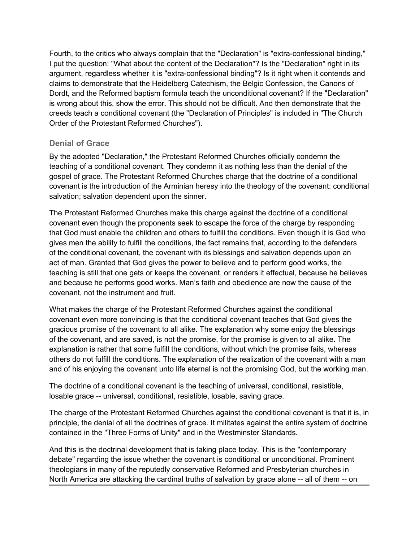Fourth, to the critics who always complain that the "Declaration" is "extra-confessional binding," I put the question: "What about the content of the Declaration"? Is the "Declaration" right in its argument, regardless whether it is "extra-confessional binding"? Is it right when it contends and claims to demonstrate that the Heidelberg Catechism, the Belgic Confession, the Canons of Dordt, and the Reformed baptism formula teach the unconditional covenant? If the "Declaration" is wrong about this, show the error. This should not be difficult. And then demonstrate that the creeds teach a conditional covenant (the "Declaration of Principles" is included in "The Church Order of the Protestant Reformed Churches").

#### **Denial of Grace**

By the adopted "Declaration," the Protestant Reformed Churches officially condemn the teaching of a conditional covenant. They condemn it as nothing less than the denial of the gospel of grace. The Protestant Reformed Churches charge that the doctrine of a conditional covenant is the introduction of the Arminian heresy into the theology of the covenant: conditional salvation; salvation dependent upon the sinner.

The Protestant Reformed Churches make this charge against the doctrine of a conditional covenant even though the proponents seek to escape the force of the charge by responding that God must enable the children and others to fulfill the conditions. Even though it is God who gives men the ability to fulfill the conditions, the fact remains that, according to the defenders of the conditional covenant, the covenant with its blessings and salvation depends upon an act of man. Granted that God gives the power to believe and to perform good works, the teaching is still that one gets or keeps the covenant, or renders it effectual, because he believes and because he performs good works. Man's faith and obedience are now the cause of the covenant, not the instrument and fruit.

What makes the charge of the Protestant Reformed Churches against the conditional covenant even more convincing is that the conditional covenant teaches that God gives the gracious promise of the covenant to all alike. The explanation why some enjoy the blessings of the covenant, and are saved, is not the promise, for the promise is given to all alike. The explanation is rather that some fulfill the conditions, without which the promise fails, whereas others do not fulfill the conditions. The explanation of the realization of the covenant with a man and of his enjoying the covenant unto life eternal is not the promising God, but the working man.

The doctrine of a conditional covenant is the teaching of universal, conditional, resistible, losable grace -- universal, conditional, resistible, losable, saving grace.

The charge of the Protestant Reformed Churches against the conditional covenant is that it is, in principle, the denial of all the doctrines of grace. It militates against the entire system of doctrine contained in the "Three Forms of Unity" and in the Westminster Standards.

And this is the doctrinal development that is taking place today. This is the "contemporary debate" regarding the issue whether the covenant is conditional or unconditional. Prominent theologians in many of the reputedly conservative Reformed and Presbyterian churches in North America are attacking the cardinal truths of salvation by grace alone -- all of them -- on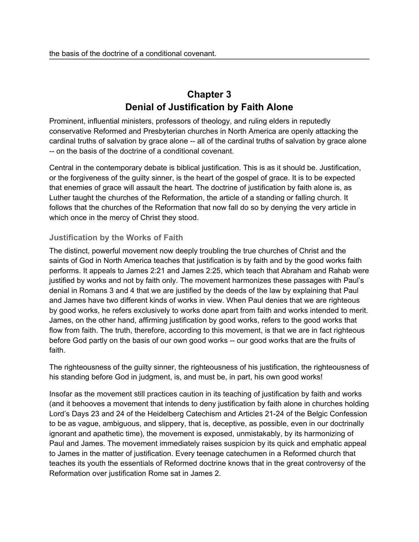# **Chapter 3 Denial of Justification by Faith Alone**

<span id="page-10-0"></span>Prominent, influential ministers, professors of theology, and ruling elders in reputedly conservative Reformed and Presbyterian churches in North America are openly attacking the cardinal truths of salvation by grace alone -- all of the cardinal truths of salvation by grace alone -- on the basis of the doctrine of a conditional covenant.

Central in the contemporary debate is biblical justification. This is as it should be. Justification, or the forgiveness of the guilty sinner, is the heart of the gospel of grace. It is to be expected that enemies of grace will assault the heart. The doctrine of justification by faith alone is, as Luther taught the churches of the Reformation, the article of a standing or falling church. It follows that the churches of the Reformation that now fall do so by denying the very article in which once in the mercy of Christ they stood.

### **Justification by the Works of Faith**

The distinct, powerful movement now deeply troubling the true churches of Christ and the saints of God in North America teaches that justification is by faith and by the good works faith performs. It appeals to James 2:21 and James 2:25, which teach that Abraham and Rahab were justified by works and not by faith only. The movement harmonizes these passages with Paul's denial in Romans 3 and 4 that we are justified by the deeds of the law by explaining that Paul and James have two different kinds of works in view. When Paul denies that we are righteous by good works, he refers exclusively to works done apart from faith and works intended to merit. James, on the other hand, affirming justification by good works, refers to the good works that flow from faith. The truth, therefore, according to this movement, is that we are in fact righteous before God partly on the basis of our own good works -- our good works that are the fruits of faith.

The righteousness of the guilty sinner, the righteousness of his justification, the righteousness of his standing before God in judgment, is, and must be, in part, his own good works!

Insofar as the movement still practices caution in its teaching of justification by faith and works (and it behooves a movement that intends to deny justification by faith alone in churches holding Lord's Days 23 and 24 of the Heidelberg Catechism and Articles 21-24 of the Belgic Confession to be as vague, ambiguous, and slippery, that is, deceptive, as possible, even in our doctrinally ignorant and apathetic time), the movement is exposed, unmistakably, by its harmonizing of Paul and James. The movement immediately raises suspicion by its quick and emphatic appeal to James in the matter of justification. Every teenage catechumen in a Reformed church that teaches its youth the essentials of Reformed doctrine knows that in the great controversy of the Reformation over justification Rome sat in James 2.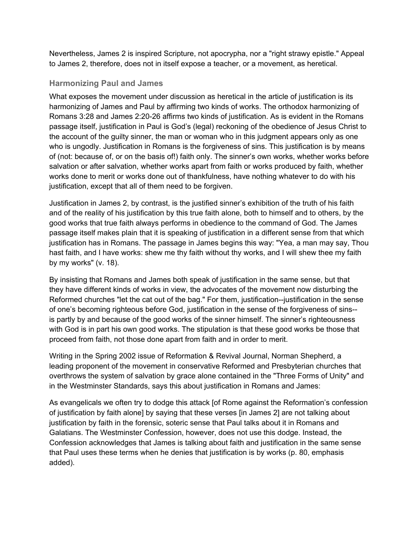Nevertheless, James 2 is inspired Scripture, not apocrypha, nor a "right strawy epistle." Appeal to James 2, therefore, does not in itself expose a teacher, or a movement, as heretical.

#### **Harmonizing Paul and James**

What exposes the movement under discussion as heretical in the article of justification is its harmonizing of James and Paul by affirming two kinds of works. The orthodox harmonizing of Romans 3:28 and James 2:20-26 affirms two kinds of justification. As is evident in the Romans passage itself, justification in Paul is God's (legal) reckoning of the obedience of Jesus Christ to the account of the guilty sinner, the man or woman who in this judgment appears only as one who is ungodly. Justification in Romans is the forgiveness of sins. This justification is by means of (not: because of, or on the basis of!) faith only. The sinner's own works, whether works before salvation or after salvation, whether works apart from faith or works produced by faith, whether works done to merit or works done out of thankfulness, have nothing whatever to do with his justification, except that all of them need to be forgiven.

Justification in James 2, by contrast, is the justified sinner's exhibition of the truth of his faith and of the reality of his justification by this true faith alone, both to himself and to others, by the good works that true faith always performs in obedience to the command of God. The James passage itself makes plain that it is speaking of justification in a different sense from that which justification has in Romans. The passage in James begins this way: "Yea, a man may say, Thou hast faith, and I have works: shew me thy faith without thy works, and I will shew thee my faith by my works" (v. 18).

By insisting that Romans and James both speak of justification in the same sense, but that they have different kinds of works in view, the advocates of the movement now disturbing the Reformed churches "let the cat out of the bag." For them, justification--justification in the sense of one's becoming righteous before God, justification in the sense of the forgiveness of sins- is partly by and because of the good works of the sinner himself. The sinner's righteousness with God is in part his own good works. The stipulation is that these good works be those that proceed from faith, not those done apart from faith and in order to merit.

Writing in the Spring 2002 issue of Reformation & Revival Journal, Norman Shepherd, a leading proponent of the movement in conservative Reformed and Presbyterian churches that overthrows the system of salvation by grace alone contained in the "Three Forms of Unity" and in the Westminster Standards, says this about justification in Romans and James:

As evangelicals we often try to dodge this attack [of Rome against the Reformation's confession of justification by faith alone] by saying that these verses [in James 2] are not talking about justification by faith in the forensic, soteric sense that Paul talks about it in Romans and Galatians. The Westminster Confession, however, does not use this dodge. Instead, the Confession acknowledges that James is talking about faith and justification in the same sense that Paul uses these terms when he denies that justification is by works (p. 80, emphasis added).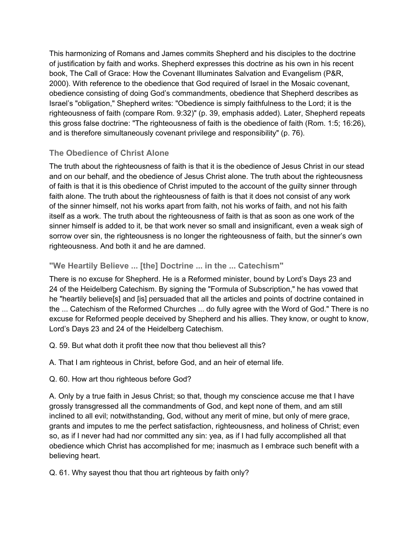This harmonizing of Romans and James commits Shepherd and his disciples to the doctrine of justification by faith and works. Shepherd expresses this doctrine as his own in his recent book, The Call of Grace: How the Covenant Illuminates Salvation and Evangelism (P&R, 2000). With reference to the obedience that God required of Israel in the Mosaic covenant, obedience consisting of doing God's commandments, obedience that Shepherd describes as Israel's "obligation," Shepherd writes: "Obedience is simply faithfulness to the Lord; it is the righteousness of faith (compare Rom. 9:32)" (p. 39, emphasis added). Later, Shepherd repeats this gross false doctrine: "The righteousness of faith is the obedience of faith (Rom. 1:5; 16:26), and is therefore simultaneously covenant privilege and responsibility" (p. 76).

## **The Obedience of Christ Alone**

The truth about the righteousness of faith is that it is the obedience of Jesus Christ in our stead and on our behalf, and the obedience of Jesus Christ alone. The truth about the righteousness of faith is that it is this obedience of Christ imputed to the account of the guilty sinner through faith alone. The truth about the righteousness of faith is that it does not consist of any work of the sinner himself, not his works apart from faith, not his works of faith, and not his faith itself as a work. The truth about the righteousness of faith is that as soon as one work of the sinner himself is added to it, be that work never so small and insignificant, even a weak sigh of sorrow over sin, the righteousness is no longer the righteousness of faith, but the sinner's own righteousness. And both it and he are damned.

### **"We Heartily Believe ... [the] Doctrine ... in the ... Catechism"**

There is no excuse for Shepherd. He is a Reformed minister, bound by Lord's Days 23 and 24 of the Heidelberg Catechism. By signing the "Formula of Subscription," he has vowed that he "heartily believe[s] and [is] persuaded that all the articles and points of doctrine contained in the ... Catechism of the Reformed Churches ... do fully agree with the Word of God." There is no excuse for Reformed people deceived by Shepherd and his allies. They know, or ought to know, Lord's Days 23 and 24 of the Heidelberg Catechism.

Q. 59. But what doth it profit thee now that thou believest all this?

A. That I am righteous in Christ, before God, and an heir of eternal life.

#### Q. 60. How art thou righteous before God?

A. Only by a true faith in Jesus Christ; so that, though my conscience accuse me that I have grossly transgressed all the commandments of God, and kept none of them, and am still inclined to all evil; notwithstanding, God, without any merit of mine, but only of mere grace, grants and imputes to me the perfect satisfaction, righteousness, and holiness of Christ; even so, as if I never had had nor committed any sin: yea, as if I had fully accomplished all that obedience which Christ has accomplished for me; inasmuch as I embrace such benefit with a believing heart.

Q. 61. Why sayest thou that thou art righteous by faith only?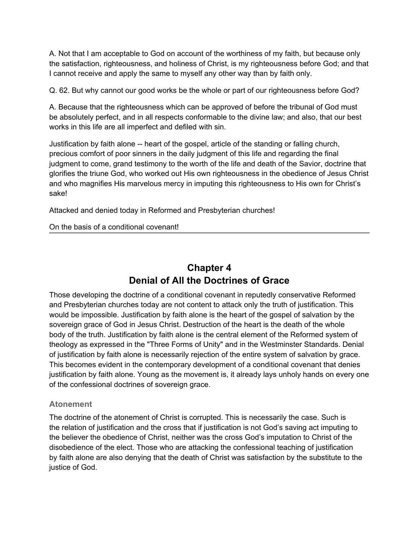<span id="page-13-0"></span>A. Not that I am acceptable to God on account of the worthiness of my faith, but because only the satisfaction, righteousness, and holiness of Christ, is my righteousness before God; and that I cannot receive and apply the same to myself any other way than by faith only.

Q. 62. But why cannot our good works be the whole or part of our righteousness before God?

A. Because that the righteousness which can be approved of before the tribunal of God must be absolutely perfect, and in all respects conformable to the divine law; and also, that our best works in this life are all imperfect and defiled with sin.

Justification by faith alone -- heart of the gospel, article of the standing or falling church, precious comfort of poor sinners in the daily judgment of this life and regarding the final judgment to come, grand testimony to the worth of the life and death of the Savior, doctrine that glorifies the triune God, who worked out His own righteousness in the obedience of Jesus Christ and who magnifies His marvelous mercy in imputing this righteousness to His own for Christ's sake!

Attacked and denied today in Reformed and Presbyterian churches!

#### On the basis of a conditional covenant!

# **Chapter 4 Denial of All the Doctrines of Grace**

Those developing the doctrine of a conditional covenant in reputedly conservative Reformed and Presbyterian churches today are not content to attack only the truth of justification. This would be impossible. Justification by faith alone is the heart of the gospel of salvation by the sovereign grace of God in Jesus Christ. Destruction of the heart is the death of the whole body of the truth. Justification by faith alone is the central element of the Reformed system of theology as expressed in the "Three Forms of Unity" and in the Westminster Standards. Denial of justification by faith alone is necessarily rejection of the entire system of salvation by grace. This becomes evident in the contemporary development of a conditional covenant that denies justification by faith alone. Young as the movement is, it already lays unholy hands on every one of the confessional doctrines of sovereign grace.

#### **Atonement**

The doctrine of the atonement of Christ is corrupted. This is necessarily the case. Such is the relation of justification and the cross that if justification is not God's saving act imputing to the believer the obedience of Christ, neither was the cross God's imputation to Christ of the disobedience of the elect. Those who are attacking the confessional teaching of justification by faith alone are also denying that the death of Christ was satisfaction by the substitute to the justice of God.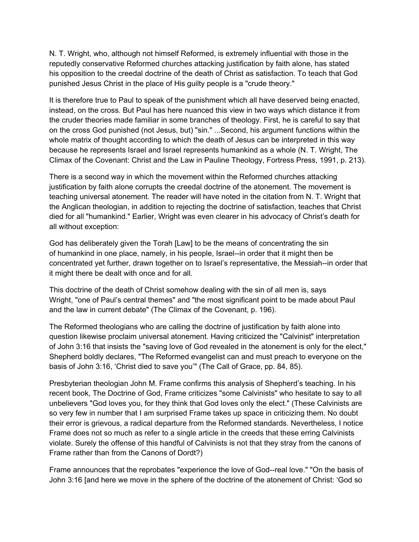N. T. Wright, who, although not himself Reformed, is extremely influential with those in the reputedly conservative Reformed churches attacking justification by faith alone, has stated his opposition to the creedal doctrine of the death of Christ as satisfaction. To teach that God punished Jesus Christ in the place of His guilty people is a "crude theory."

It is therefore true to Paul to speak of the punishment which all have deserved being enacted, instead, on the cross. But Paul has here nuanced this view in two ways which distance it from the cruder theories made familiar in some branches of theology. First, he is careful to say that on the cross God punished (not Jesus, but) "sin." ...Second, his argument functions within the whole matrix of thought according to which the death of Jesus can be interpreted in this way because he represents Israel and Israel represents humankind as a whole (N. T. Wright, The Climax of the Covenant: Christ and the Law in Pauline Theology, Fortress Press, 1991, p. 213).

There is a second way in which the movement within the Reformed churches attacking justification by faith alone corrupts the creedal doctrine of the atonement. The movement is teaching universal atonement. The reader will have noted in the citation from N. T. Wright that the Anglican theologian, in addition to rejecting the doctrine of satisfaction, teaches that Christ died for all "humankind." Earlier, Wright was even clearer in his advocacy of Christ's death for all without exception:

God has deliberately given the Torah [Law] to be the means of concentrating the sin of humankind in one place, namely, in his people, Israel--in order that it might then be concentrated yet further, drawn together on to Israel's representative, the Messiah--in order that it might there be dealt with once and for all.

This doctrine of the death of Christ somehow dealing with the sin of all men is, says Wright, "one of Paul's central themes" and "the most significant point to be made about Paul and the law in current debate" (The Climax of the Covenant, p. 196).

The Reformed theologians who are calling the doctrine of justification by faith alone into question likewise proclaim universal atonement. Having criticized the "Calvinist" interpretation of John 3:16 that insists the "saving love of God revealed in the atonement is only for the elect," Shepherd boldly declares, "The Reformed evangelist can and must preach to everyone on the basis of John 3:16, 'Christ died to save you'" (The Call of Grace, pp. 84, 85).

Presbyterian theologian John M. Frame confirms this analysis of Shepherd's teaching. In his recent book, The Doctrine of God, Frame criticizes "some Calvinists" who hesitate to say to all unbelievers "God loves you, for they think that God loves only the elect." (These Calvinists are so very few in number that I am surprised Frame takes up space in criticizing them. No doubt their error is grievous, a radical departure from the Reformed standards. Nevertheless, I notice Frame does not so much as refer to a single article in the creeds that these erring Calvinists violate. Surely the offense of this handful of Calvinists is not that they stray from the canons of Frame rather than from the Canons of Dordt?)

Frame announces that the reprobates "experience the love of God--real love." "On the basis of John 3:16 [and here we move in the sphere of the doctrine of the atonement of Christ: 'God so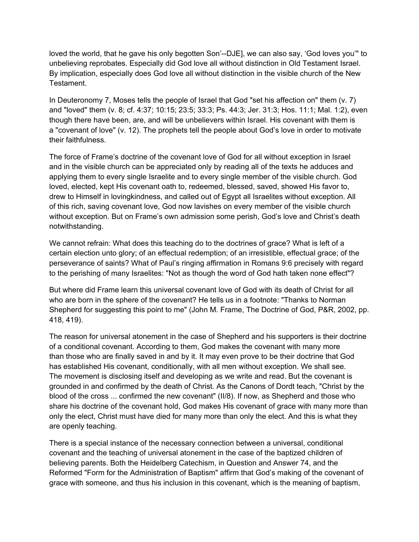loved the world, that he gave his only begotten Son'--DJE], we can also say, 'God loves you'" to unbelieving reprobates. Especially did God love all without distinction in Old Testament Israel. By implication, especially does God love all without distinction in the visible church of the New Testament.

In Deuteronomy 7, Moses tells the people of Israel that God "set his affection on" them (v. 7) and "loved" them (v. 8; cf. 4:37; 10:15; 23:5; 33:3; Ps. 44:3; Jer. 31:3; Hos. 11:1; Mal. 1:2), even though there have been, are, and will be unbelievers within Israel. His covenant with them is a "covenant of love" (v. 12). The prophets tell the people about God's love in order to motivate their faithfulness.

The force of Frame's doctrine of the covenant love of God for all without exception in Israel and in the visible church can be appreciated only by reading all of the texts he adduces and applying them to every single Israelite and to every single member of the visible church. God loved, elected, kept His covenant oath to, redeemed, blessed, saved, showed His favor to, drew to Himself in lovingkindness, and called out of Egypt all Israelites without exception. All of this rich, saving covenant love, God now lavishes on every member of the visible church without exception. But on Frame's own admission some perish, God's love and Christ's death notwithstanding.

We cannot refrain: What does this teaching do to the doctrines of grace? What is left of a certain election unto glory; of an effectual redemption; of an irresistible, effectual grace; of the perseverance of saints? What of Paul's ringing affirmation in Romans 9:6 precisely with regard to the perishing of many Israelites: "Not as though the word of God hath taken none effect"?

But where did Frame learn this universal covenant love of God with its death of Christ for all who are born in the sphere of the covenant? He tells us in a footnote: "Thanks to Norman Shepherd for suggesting this point to me" (John M. Frame, The Doctrine of God, P&R, 2002, pp. 418, 419).

The reason for universal atonement in the case of Shepherd and his supporters is their doctrine of a conditional covenant. According to them, God makes the covenant with many more than those who are finally saved in and by it. It may even prove to be their doctrine that God has established His covenant, conditionally, with all men without exception. We shall see. The movement is disclosing itself and developing as we write and read. But the covenant is grounded in and confirmed by the death of Christ. As the Canons of Dordt teach, "Christ by the blood of the cross ... confirmed the new covenant" (II/8). If now, as Shepherd and those who share his doctrine of the covenant hold, God makes His covenant of grace with many more than only the elect, Christ must have died for many more than only the elect. And this is what they are openly teaching.

There is a special instance of the necessary connection between a universal, conditional covenant and the teaching of universal atonement in the case of the baptized children of believing parents. Both the Heidelberg Catechism, in Question and Answer 74, and the Reformed "Form for the Administration of Baptism" affirm that God's making of the covenant of grace with someone, and thus his inclusion in this covenant, which is the meaning of baptism,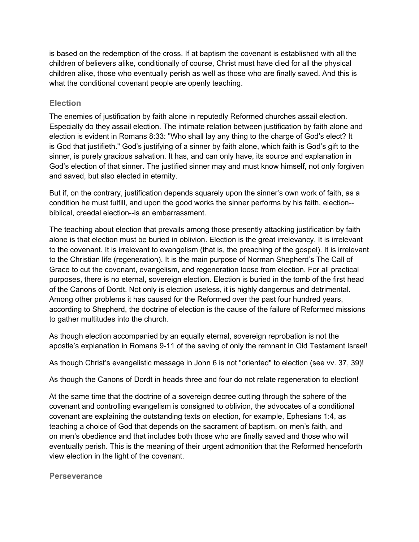is based on the redemption of the cross. If at baptism the covenant is established with all the children of believers alike, conditionally of course, Christ must have died for all the physical children alike, those who eventually perish as well as those who are finally saved. And this is what the conditional covenant people are openly teaching.

#### **Election**

The enemies of justification by faith alone in reputedly Reformed churches assail election. Especially do they assail election. The intimate relation between justification by faith alone and election is evident in Romans 8:33: "Who shall lay any thing to the charge of God's elect? It is God that justifieth." God's justifying of a sinner by faith alone, which faith is God's gift to the sinner, is purely gracious salvation. It has, and can only have, its source and explanation in God's election of that sinner. The justified sinner may and must know himself, not only forgiven and saved, but also elected in eternity.

But if, on the contrary, justification depends squarely upon the sinner's own work of faith, as a condition he must fulfill, and upon the good works the sinner performs by his faith, election- biblical, creedal election--is an embarrassment.

The teaching about election that prevails among those presently attacking justification by faith alone is that election must be buried in oblivion. Election is the great irrelevancy. It is irrelevant to the covenant. It is irrelevant to evangelism (that is, the preaching of the gospel). It is irrelevant to the Christian life (regeneration). It is the main purpose of Norman Shepherd's The Call of Grace to cut the covenant, evangelism, and regeneration loose from election. For all practical purposes, there is no eternal, sovereign election. Election is buried in the tomb of the first head of the Canons of Dordt. Not only is election useless, it is highly dangerous and detrimental. Among other problems it has caused for the Reformed over the past four hundred years, according to Shepherd, the doctrine of election is the cause of the failure of Reformed missions to gather multitudes into the church.

As though election accompanied by an equally eternal, sovereign reprobation is not the apostle's explanation in Romans 9-11 of the saving of only the remnant in Old Testament Israel!

As though Christ's evangelistic message in John 6 is not "oriented" to election (see vv. 37, 39)!

As though the Canons of Dordt in heads three and four do not relate regeneration to election!

At the same time that the doctrine of a sovereign decree cutting through the sphere of the covenant and controlling evangelism is consigned to oblivion, the advocates of a conditional covenant are explaining the outstanding texts on election, for example, Ephesians 1:4, as teaching a choice of God that depends on the sacrament of baptism, on men's faith, and on men's obedience and that includes both those who are finally saved and those who will eventually perish. This is the meaning of their urgent admonition that the Reformed henceforth view election in the light of the covenant.

**Perseverance**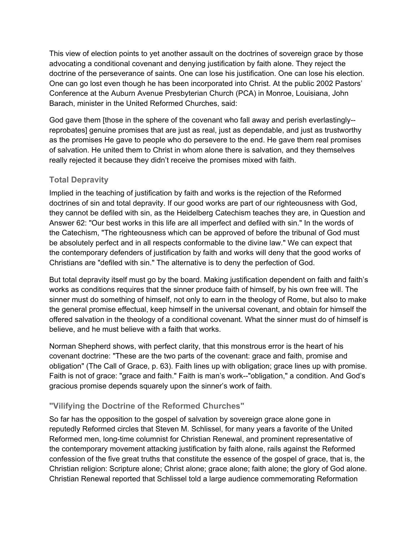This view of election points to yet another assault on the doctrines of sovereign grace by those advocating a conditional covenant and denying justification by faith alone. They reject the doctrine of the perseverance of saints. One can lose his justification. One can lose his election. One can go lost even though he has been incorporated into Christ. At the public 2002 Pastors' Conference at the Auburn Avenue Presbyterian Church (PCA) in Monroe, Louisiana, John Barach, minister in the United Reformed Churches, said:

God gave them [those in the sphere of the covenant who fall away and perish everlastingly- reprobates] genuine promises that are just as real, just as dependable, and just as trustworthy as the promises He gave to people who do persevere to the end. He gave them real promises of salvation. He united them to Christ in whom alone there is salvation, and they themselves really rejected it because they didn't receive the promises mixed with faith.

## **Total Depravity**

Implied in the teaching of justification by faith and works is the rejection of the Reformed doctrines of sin and total depravity. If our good works are part of our righteousness with God, they cannot be defiled with sin, as the Heidelberg Catechism teaches they are, in Question and Answer 62: "Our best works in this life are all imperfect and defiled with sin." In the words of the Catechism, "The righteousness which can be approved of before the tribunal of God must be absolutely perfect and in all respects conformable to the divine law." We can expect that the contemporary defenders of justification by faith and works will deny that the good works of Christians are "defiled with sin." The alternative is to deny the perfection of God.

But total depravity itself must go by the board. Making justification dependent on faith and faith's works as conditions requires that the sinner produce faith of himself, by his own free will. The sinner must do something of himself, not only to earn in the theology of Rome, but also to make the general promise effectual, keep himself in the universal covenant, and obtain for himself the offered salvation in the theology of a conditional covenant. What the sinner must do of himself is believe, and he must believe with a faith that works.

Norman Shepherd shows, with perfect clarity, that this monstrous error is the heart of his covenant doctrine: "These are the two parts of the covenant: grace and faith, promise and obligation" (The Call of Grace, p. 63). Faith lines up with obligation; grace lines up with promise. Faith is not of grace: "grace and faith." Faith is man's work--"obligation," a condition. And God's gracious promise depends squarely upon the sinner's work of faith.

## **"Vilifying the Doctrine of the Reformed Churches"**

So far has the opposition to the gospel of salvation by sovereign grace alone gone in reputedly Reformed circles that Steven M. Schlissel, for many years a favorite of the United Reformed men, long-time columnist for Christian Renewal, and prominent representative of the contemporary movement attacking justification by faith alone, rails against the Reformed confession of the five great truths that constitute the essence of the gospel of grace, that is, the Christian religion: Scripture alone; Christ alone; grace alone; faith alone; the glory of God alone. Christian Renewal reported that Schlissel told a large audience commemorating Reformation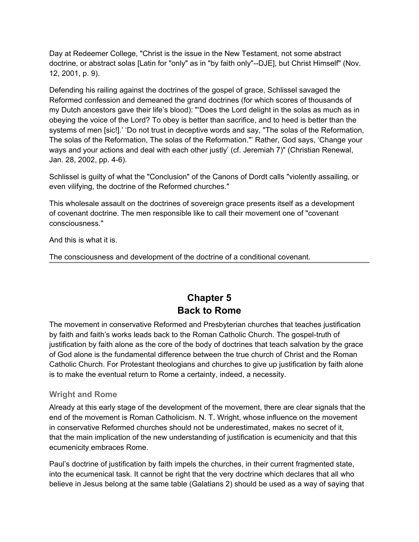<span id="page-18-0"></span>Day at Redeemer College, "Christ is the issue in the New Testament, not some abstract doctrine, or abstract solas [Latin for "only" as in "by faith only"--DJE], but Christ Himself" (Nov. 12, 2001, p. 9).

Defending his railing against the doctrines of the gospel of grace, Schlissel savaged the Reformed confession and demeaned the grand doctrines (for which scores of thousands of my Dutch ancestors gave their life's blood): "'Does the Lord delight in the solas as much as in obeying the voice of the Lord? To obey is better than sacrifice, and to heed is better than the systems of men [sic!].' 'Do not trust in deceptive words and say, "The solas of the Reformation, The solas of the Reformation, The solas of the Reformation."' Rather, God says, 'Change your ways and your actions and deal with each other justly' (cf. Jeremiah 7)" (Christian Renewal, Jan. 28, 2002, pp. 4-6).

Schlissel is guilty of what the "Conclusion" of the Canons of Dordt calls "violently assailing, or even vilifying, the doctrine of the Reformed churches."

This wholesale assault on the doctrines of sovereign grace presents itself as a development of covenant doctrine. The men responsible like to call their movement one of "covenant consciousness."

And this is what it is.

The consciousness and development of the doctrine of a conditional covenant.

# **Chapter 5 Back to Rome**

The movement in conservative Reformed and Presbyterian churches that teaches justification by faith and faith's works leads back to the Roman Catholic Church. The gospel-truth of justification by faith alone as the core of the body of doctrines that teach salvation by the grace of God alone is the fundamental difference between the true church of Christ and the Roman Catholic Church. For Protestant theologians and churches to give up justification by faith alone is to make the eventual return to Rome a certainty, indeed, a necessity.

#### **Wright and Rome**

Already at this early stage of the development of the movement, there are clear signals that the end of the movement is Roman Catholicism. N. T. Wright, whose influence on the movement in conservative Reformed churches should not be underestimated, makes no secret of it, that the main implication of the new understanding of justification is ecumenicity and that this ecumenicity embraces Rome.

Paul's doctrine of justification by faith impels the churches, in their current fragmented state, into the ecumenical task. It cannot be right that the very doctrine which declares that all who believe in Jesus belong at the same table (Galatians 2) should be used as a way of saying that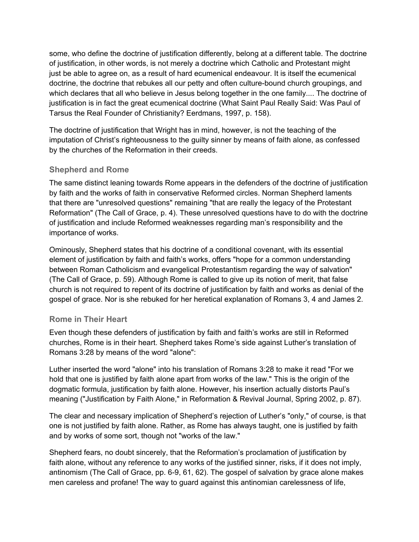some, who define the doctrine of justification differently, belong at a different table. The doctrine of justification, in other words, is not merely a doctrine which Catholic and Protestant might just be able to agree on, as a result of hard ecumenical endeavour. It is itself the ecumenical doctrine, the doctrine that rebukes all our petty and often culture-bound church groupings, and which declares that all who believe in Jesus belong together in the one family.... The doctrine of justification is in fact the great ecumenical doctrine (What Saint Paul Really Said: Was Paul of Tarsus the Real Founder of Christianity? Eerdmans, 1997, p. 158).

The doctrine of justification that Wright has in mind, however, is not the teaching of the imputation of Christ's righteousness to the guilty sinner by means of faith alone, as confessed by the churches of the Reformation in their creeds.

### **Shepherd and Rome**

The same distinct leaning towards Rome appears in the defenders of the doctrine of justification by faith and the works of faith in conservative Reformed circles. Norman Shepherd laments that there are "unresolved questions" remaining "that are really the legacy of the Protestant Reformation" (The Call of Grace, p. 4). These unresolved questions have to do with the doctrine of justification and include Reformed weaknesses regarding man's responsibility and the importance of works.

Ominously, Shepherd states that his doctrine of a conditional covenant, with its essential element of justification by faith and faith's works, offers "hope for a common understanding between Roman Catholicism and evangelical Protestantism regarding the way of salvation" (The Call of Grace, p. 59). Although Rome is called to give up its notion of merit, that false church is not required to repent of its doctrine of justification by faith and works as denial of the gospel of grace. Nor is she rebuked for her heretical explanation of Romans 3, 4 and James 2.

#### **Rome in Their Heart**

Even though these defenders of justification by faith and faith's works are still in Reformed churches, Rome is in their heart. Shepherd takes Rome's side against Luther's translation of Romans 3:28 by means of the word "alone":

Luther inserted the word "alone" into his translation of Romans 3:28 to make it read "For we hold that one is justified by faith alone apart from works of the law." This is the origin of the dogmatic formula, justification by faith alone. However, his insertion actually distorts Paul's meaning ("Justification by Faith Alone," in Reformation & Revival Journal, Spring 2002, p. 87).

The clear and necessary implication of Shepherd's rejection of Luther's "only," of course, is that one is not justified by faith alone. Rather, as Rome has always taught, one is justified by faith and by works of some sort, though not "works of the law."

Shepherd fears, no doubt sincerely, that the Reformation's proclamation of justification by faith alone, without any reference to any works of the justified sinner, risks, if it does not imply, antinomism (The Call of Grace, pp. 6-9, 61, 62). The gospel of salvation by grace alone makes men careless and profane! The way to guard against this antinomian carelessness of life,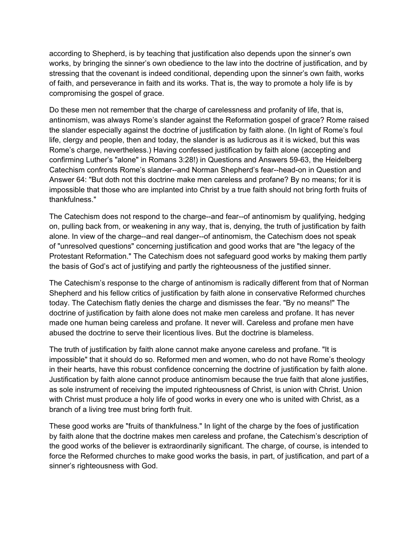according to Shepherd, is by teaching that justification also depends upon the sinner's own works, by bringing the sinner's own obedience to the law into the doctrine of justification, and by stressing that the covenant is indeed conditional, depending upon the sinner's own faith, works of faith, and perseverance in faith and its works. That is, the way to promote a holy life is by compromising the gospel of grace.

Do these men not remember that the charge of carelessness and profanity of life, that is, antinomism, was always Rome's slander against the Reformation gospel of grace? Rome raised the slander especially against the doctrine of justification by faith alone. (In light of Rome's foul life, clergy and people, then and today, the slander is as ludicrous as it is wicked, but this was Rome's charge, nevertheless.) Having confessed justification by faith alone (accepting and confirming Luther's "alone" in Romans 3:28!) in Questions and Answers 59-63, the Heidelberg Catechism confronts Rome's slander--and Norman Shepherd's fear--head-on in Question and Answer 64: "But doth not this doctrine make men careless and profane? By no means; for it is impossible that those who are implanted into Christ by a true faith should not bring forth fruits of thankfulness."

The Catechism does not respond to the charge--and fear--of antinomism by qualifying, hedging on, pulling back from, or weakening in any way, that is, denying, the truth of justification by faith alone. In view of the charge--and real danger--of antinomism, the Catechism does not speak of "unresolved questions" concerning justification and good works that are "the legacy of the Protestant Reformation." The Catechism does not safeguard good works by making them partly the basis of God's act of justifying and partly the righteousness of the justified sinner.

The Catechism's response to the charge of antinomism is radically different from that of Norman Shepherd and his fellow critics of justification by faith alone in conservative Reformed churches today. The Catechism flatly denies the charge and dismisses the fear. "By no means!" The doctrine of justification by faith alone does not make men careless and profane. It has never made one human being careless and profane. It never will. Careless and profane men have abused the doctrine to serve their licentious lives. But the doctrine is blameless.

The truth of justification by faith alone cannot make anyone careless and profane. "It is impossible" that it should do so. Reformed men and women, who do not have Rome's theology in their hearts, have this robust confidence concerning the doctrine of justification by faith alone. Justification by faith alone cannot produce antinomism because the true faith that alone justifies, as sole instrument of receiving the imputed righteousness of Christ, is union with Christ. Union with Christ must produce a holy life of good works in every one who is united with Christ, as a branch of a living tree must bring forth fruit.

These good works are "fruits of thankfulness." In light of the charge by the foes of justification by faith alone that the doctrine makes men careless and profane, the Catechism's description of the good works of the believer is extraordinarily significant. The charge, of course, is intended to force the Reformed churches to make good works the basis, in part, of justification, and part of a sinner's righteousness with God.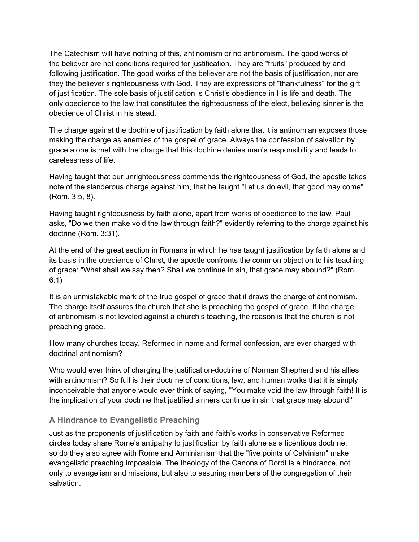The Catechism will have nothing of this, antinomism or no antinomism. The good works of the believer are not conditions required for justification. They are "fruits" produced by and following justification. The good works of the believer are not the basis of justification, nor are they the believer's righteousness with God. They are expressions of "thankfulness" for the gift of justification. The sole basis of justification is Christ's obedience in His life and death. The only obedience to the law that constitutes the righteousness of the elect, believing sinner is the obedience of Christ in his stead.

The charge against the doctrine of justification by faith alone that it is antinomian exposes those making the charge as enemies of the gospel of grace. Always the confession of salvation by grace alone is met with the charge that this doctrine denies man's responsibility and leads to carelessness of life.

Having taught that our unrighteousness commends the righteousness of God, the apostle takes note of the slanderous charge against him, that he taught "Let us do evil, that good may come" (Rom. 3:5, 8).

Having taught righteousness by faith alone, apart from works of obedience to the law, Paul asks, "Do we then make void the law through faith?" evidently referring to the charge against his doctrine (Rom. 3:31).

At the end of the great section in Romans in which he has taught justification by faith alone and its basis in the obedience of Christ, the apostle confronts the common objection to his teaching of grace: "What shall we say then? Shall we continue in sin, that grace may abound?" (Rom. 6:1)

It is an unmistakable mark of the true gospel of grace that it draws the charge of antinomism. The charge itself assures the church that she is preaching the gospel of grace. If the charge of antinomism is not leveled against a church's teaching, the reason is that the church is not preaching grace.

How many churches today, Reformed in name and formal confession, are ever charged with doctrinal antinomism?

Who would ever think of charging the justification-doctrine of Norman Shepherd and his allies with antinomism? So full is their doctrine of conditions, law, and human works that it is simply inconceivable that anyone would ever think of saying, "You make void the law through faith! It is the implication of your doctrine that justified sinners continue in sin that grace may abound!"

## **A Hindrance to Evangelistic Preaching**

Just as the proponents of justification by faith and faith's works in conservative Reformed circles today share Rome's antipathy to justification by faith alone as a licentious doctrine, so do they also agree with Rome and Arminianism that the "five points of Calvinism" make evangelistic preaching impossible. The theology of the Canons of Dordt is a hindrance, not only to evangelism and missions, but also to assuring members of the congregation of their salvation.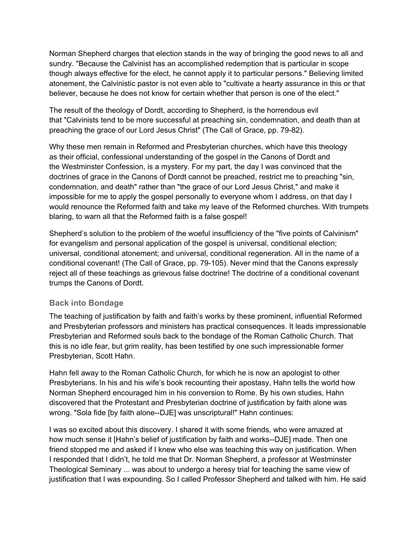Norman Shepherd charges that election stands in the way of bringing the good news to all and sundry. "Because the Calvinist has an accomplished redemption that is particular in scope though always effective for the elect, he cannot apply it to particular persons." Believing limited atonement, the Calvinistic pastor is not even able to "cultivate a hearty assurance in this or that believer, because he does not know for certain whether that person is one of the elect."

The result of the theology of Dordt, according to Shepherd, is the horrendous evil that "Calvinists tend to be more successful at preaching sin, condemnation, and death than at preaching the grace of our Lord Jesus Christ" (The Call of Grace, pp. 79-82).

Why these men remain in Reformed and Presbyterian churches, which have this theology as their official, confessional understanding of the gospel in the Canons of Dordt and the Westminster Confession, is a mystery. For my part, the day I was convinced that the doctrines of grace in the Canons of Dordt cannot be preached, restrict me to preaching "sin, condemnation, and death" rather than "the grace of our Lord Jesus Christ," and make it impossible for me to apply the gospel personally to everyone whom I address, on that day I would renounce the Reformed faith and take my leave of the Reformed churches. With trumpets blaring, to warn all that the Reformed faith is a false gospel!

Shepherd's solution to the problem of the woeful insufficiency of the "five points of Calvinism" for evangelism and personal application of the gospel is universal, conditional election; universal, conditional atonement; and universal, conditional regeneration. All in the name of a conditional covenant! (The Call of Grace, pp. 79-105). Never mind that the Canons expressly reject all of these teachings as grievous false doctrine! The doctrine of a conditional covenant trumps the Canons of Dordt.

#### **Back into Bondage**

The teaching of justification by faith and faith's works by these prominent, influential Reformed and Presbyterian professors and ministers has practical consequences. It leads impressionable Presbyterian and Reformed souls back to the bondage of the Roman Catholic Church. That this is no idle fear, but grim reality, has been testified by one such impressionable former Presbyterian, Scott Hahn.

Hahn fell away to the Roman Catholic Church, for which he is now an apologist to other Presbyterians. In his and his wife's book recounting their apostasy, Hahn tells the world how Norman Shepherd encouraged him in his conversion to Rome. By his own studies, Hahn discovered that the Protestant and Presbyterian doctrine of justification by faith alone was wrong. "Sola fide [by faith alone--DJE] was unscriptural!" Hahn continues:

I was so excited about this discovery. I shared it with some friends, who were amazed at how much sense it [Hahn's belief of justification by faith and works--DJE] made. Then one friend stopped me and asked if I knew who else was teaching this way on justification. When I responded that I didn't, he told me that Dr. Norman Shepherd, a professor at Westminster Theological Seminary ... was about to undergo a heresy trial for teaching the same view of justification that I was expounding. So I called Professor Shepherd and talked with him. He said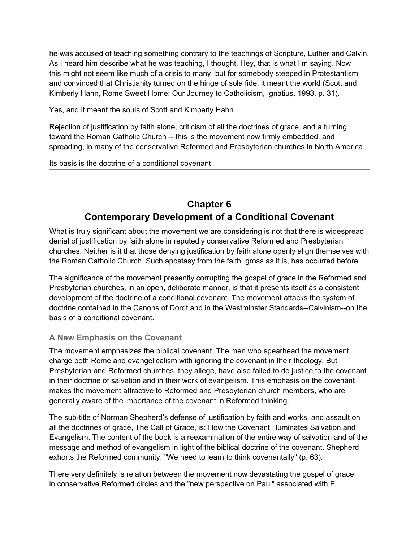<span id="page-23-0"></span>he was accused of teaching something contrary to the teachings of Scripture, Luther and Calvin. As I heard him describe what he was teaching, I thought, Hey, that is what I'm saying. Now this might not seem like much of a crisis to many, but for somebody steeped in Protestantism and convinced that Christianity turned on the hinge of sola fide, it meant the world (Scott and Kimberly Hahn, Rome Sweet Home: Our Journey to Catholicism, Ignatius, 1993, p. 31).

Yes, and it meant the souls of Scott and Kimberly Hahn.

Rejection of justification by faith alone, criticism of all the doctrines of grace, and a turning toward the Roman Catholic Church -- this is the movement now firmly embedded, and spreading, in many of the conservative Reformed and Presbyterian churches in North America.

Its basis is the doctrine of a conditional covenant.

# **Chapter 6 Contemporary Development of a Conditional Covenant**

What is truly significant about the movement we are considering is not that there is widespread denial of justification by faith alone in reputedly conservative Reformed and Presbyterian churches. Neither is it that those denying justification by faith alone openly align themselves with the Roman Catholic Church. Such apostasy from the faith, gross as it is, has occurred before.

The significance of the movement presently corrupting the gospel of grace in the Reformed and Presbyterian churches, in an open, deliberate manner, is that it presents itself as a consistent development of the doctrine of a conditional covenant. The movement attacks the system of doctrine contained in the Canons of Dordt and in the Westminster Standards--Calvinism--on the basis of a conditional covenant.

#### **A New Emphasis on the Covenant**

The movement emphasizes the biblical covenant. The men who spearhead the movement charge both Rome and evangelicalism with ignoring the covenant in their theology. But Presbyterian and Reformed churches, they allege, have also failed to do justice to the covenant in their doctrine of salvation and in their work of evangelism. This emphasis on the covenant makes the movement attractive to Reformed and Presbyterian church members, who are generally aware of the importance of the covenant in Reformed thinking.

The sub-title of Norman Shepherd's defense of justification by faith and works, and assault on all the doctrines of grace, The Call of Grace, is: How the Covenant Illuminates Salvation and Evangelism. The content of the book is a reexamination of the entire way of salvation and of the message and method of evangelism in light of the biblical doctrine of the covenant. Shepherd exhorts the Reformed community, "We need to learn to think covenantally" (p. 63).

There very definitely is relation between the movement now devastating the gospel of grace in conservative Reformed circles and the "new perspective on Paul" associated with E.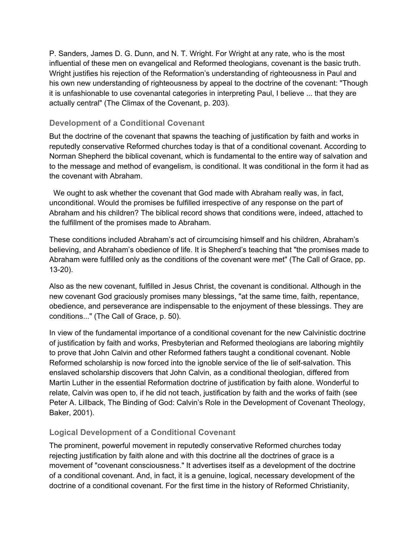P. Sanders, James D. G. Dunn, and N. T. Wright. For Wright at any rate, who is the most influential of these men on evangelical and Reformed theologians, covenant is the basic truth. Wright justifies his rejection of the Reformation's understanding of righteousness in Paul and his own new understanding of righteousness by appeal to the doctrine of the covenant: "Though it is unfashionable to use covenantal categories in interpreting Paul, I believe ... that they are actually central" (The Climax of the Covenant, p. 203).

#### **Development of a Conditional Covenant**

But the doctrine of the covenant that spawns the teaching of justification by faith and works in reputedly conservative Reformed churches today is that of a conditional covenant. According to Norman Shepherd the biblical covenant, which is fundamental to the entire way of salvation and to the message and method of evangelism, is conditional. It was conditional in the form it had as the covenant with Abraham.

 We ought to ask whether the covenant that God made with Abraham really was, in fact, unconditional. Would the promises be fulfilled irrespective of any response on the part of Abraham and his children? The biblical record shows that conditions were, indeed, attached to the fulfillment of the promises made to Abraham.

These conditions included Abraham's act of circumcising himself and his children, Abraham's believing, and Abraham's obedience of life. It is Shepherd's teaching that "the promises made to Abraham were fulfilled only as the conditions of the covenant were met" (The Call of Grace, pp. 13-20).

Also as the new covenant, fulfilled in Jesus Christ, the covenant is conditional. Although in the new covenant God graciously promises many blessings, "at the same time, faith, repentance, obedience, and perseverance are indispensable to the enjoyment of these blessings. They are conditions..." (The Call of Grace, p. 50).

In view of the fundamental importance of a conditional covenant for the new Calvinistic doctrine of justification by faith and works, Presbyterian and Reformed theologians are laboring mightily to prove that John Calvin and other Reformed fathers taught a conditional covenant. Noble Reformed scholarship is now forced into the ignoble service of the lie of self-salvation. This enslaved scholarship discovers that John Calvin, as a conditional theologian, differed from Martin Luther in the essential Reformation doctrine of justification by faith alone. Wonderful to relate, Calvin was open to, if he did not teach, justification by faith and the works of faith (see Peter A. Lillback, The Binding of God: Calvin's Role in the Development of Covenant Theology, Baker, 2001).

#### **Logical Development of a Conditional Covenant**

The prominent, powerful movement in reputedly conservative Reformed churches today rejecting justification by faith alone and with this doctrine all the doctrines of grace is a movement of "covenant consciousness." It advertises itself as a development of the doctrine of a conditional covenant. And, in fact, it is a genuine, logical, necessary development of the doctrine of a conditional covenant. For the first time in the history of Reformed Christianity,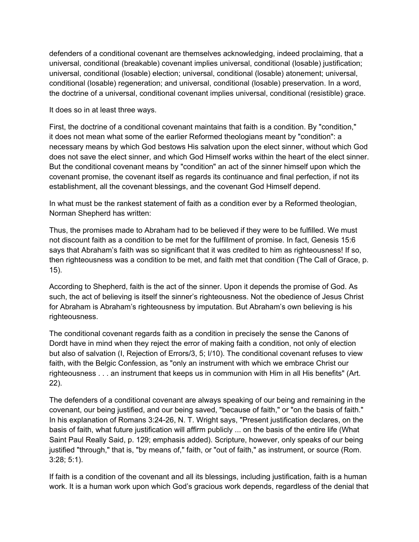defenders of a conditional covenant are themselves acknowledging, indeed proclaiming, that a universal, conditional (breakable) covenant implies universal, conditional (losable) justification; universal, conditional (losable) election; universal, conditional (losable) atonement; universal, conditional (losable) regeneration; and universal, conditional (losable) preservation. In a word, the doctrine of a universal, conditional covenant implies universal, conditional (resistible) grace.

It does so in at least three ways.

First, the doctrine of a conditional covenant maintains that faith is a condition. By "condition," it does not mean what some of the earlier Reformed theologians meant by "condition": a necessary means by which God bestows His salvation upon the elect sinner, without which God does not save the elect sinner, and which God Himself works within the heart of the elect sinner. But the conditional covenant means by "condition" an act of the sinner himself upon which the covenant promise, the covenant itself as regards its continuance and final perfection, if not its establishment, all the covenant blessings, and the covenant God Himself depend.

In what must be the rankest statement of faith as a condition ever by a Reformed theologian, Norman Shepherd has written:

Thus, the promises made to Abraham had to be believed if they were to be fulfilled. We must not discount faith as a condition to be met for the fulfillment of promise. In fact, Genesis 15:6 says that Abraham's faith was so significant that it was credited to him as righteousness! If so, then righteousness was a condition to be met, and faith met that condition (The Call of Grace, p. 15).

According to Shepherd, faith is the act of the sinner. Upon it depends the promise of God. As such, the act of believing is itself the sinner's righteousness. Not the obedience of Jesus Christ for Abraham is Abraham's righteousness by imputation. But Abraham's own believing is his righteousness.

The conditional covenant regards faith as a condition in precisely the sense the Canons of Dordt have in mind when they reject the error of making faith a condition, not only of election but also of salvation (I, Rejection of Errors/3, 5; I/10). The conditional covenant refuses to view faith, with the Belgic Confession, as "only an instrument with which we embrace Christ our righteousness . . . an instrument that keeps us in communion with Him in all His benefits" (Art. 22).

The defenders of a conditional covenant are always speaking of our being and remaining in the covenant, our being justified, and our being saved, "because of faith," or "on the basis of faith." In his explanation of Romans 3:24-26, N. T. Wright says, "Present justification declares, on the basis of faith, what future justification will affirm publicly ... on the basis of the entire life (What Saint Paul Really Said, p. 129; emphasis added). Scripture, however, only speaks of our being justified "through," that is, "by means of," faith, or "out of faith," as instrument, or source (Rom. 3:28; 5:1).

If faith is a condition of the covenant and all its blessings, including justification, faith is a human work. It is a human work upon which God's gracious work depends, regardless of the denial that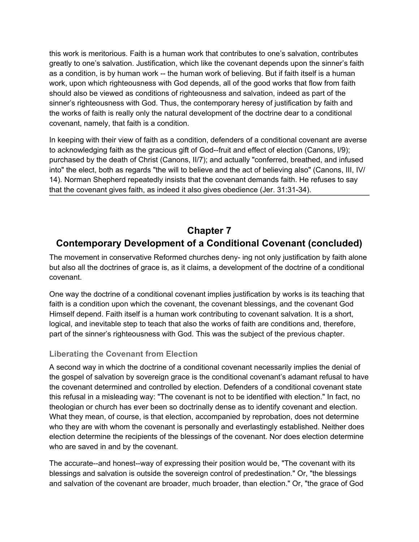<span id="page-26-0"></span>this work is meritorious. Faith is a human work that contributes to one's salvation, contributes greatly to one's salvation. Justification, which like the covenant depends upon the sinner's faith as a condition, is by human work -- the human work of believing. But if faith itself is a human work, upon which righteousness with God depends, all of the good works that flow from faith should also be viewed as conditions of righteousness and salvation, indeed as part of the sinner's righteousness with God. Thus, the contemporary heresy of justification by faith and the works of faith is really only the natural development of the doctrine dear to a conditional covenant, namely, that faith is a condition.

In keeping with their view of faith as a condition, defenders of a conditional covenant are averse to acknowledging faith as the gracious gift of God--fruit and effect of election (Canons, I/9); purchased by the death of Christ (Canons, II/7); and actually "conferred, breathed, and infused into" the elect, both as regards "the will to believe and the act of believing also" (Canons, III, IV/ 14). Norman Shepherd repeatedly insists that the covenant demands faith. He refuses to say that the covenant gives faith, as indeed it also gives obedience (Jer. 31:31-34).

# **Chapter 7 Contemporary Development of a Conditional Covenant (concluded)**

The movement in conservative Reformed churches deny- ing not only justification by faith alone but also all the doctrines of grace is, as it claims, a development of the doctrine of a conditional covenant.

One way the doctrine of a conditional covenant implies justification by works is its teaching that faith is a condition upon which the covenant, the covenant blessings, and the covenant God Himself depend. Faith itself is a human work contributing to covenant salvation. It is a short, logical, and inevitable step to teach that also the works of faith are conditions and, therefore, part of the sinner's righteousness with God. This was the subject of the previous chapter.

## **Liberating the Covenant from Election**

A second way in which the doctrine of a conditional covenant necessarily implies the denial of the gospel of salvation by sovereign grace is the conditional covenant's adamant refusal to have the covenant determined and controlled by election. Defenders of a conditional covenant state this refusal in a misleading way: "The covenant is not to be identified with election." In fact, no theologian or church has ever been so doctrinally dense as to identify covenant and election. What they mean, of course, is that election, accompanied by reprobation, does not determine who they are with whom the covenant is personally and everlastingly established. Neither does election determine the recipients of the blessings of the covenant. Nor does election determine who are saved in and by the covenant.

The accurate--and honest--way of expressing their position would be, "The covenant with its blessings and salvation is outside the sovereign control of predestination." Or, "the blessings and salvation of the covenant are broader, much broader, than election." Or, "the grace of God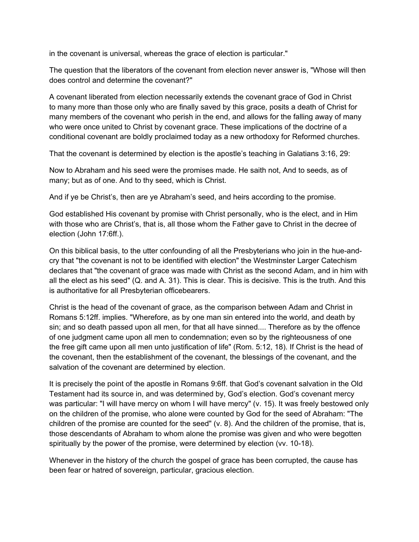in the covenant is universal, whereas the grace of election is particular."

The question that the liberators of the covenant from election never answer is, "Whose will then does control and determine the covenant?"

A covenant liberated from election necessarily extends the covenant grace of God in Christ to many more than those only who are finally saved by this grace, posits a death of Christ for many members of the covenant who perish in the end, and allows for the falling away of many who were once united to Christ by covenant grace. These implications of the doctrine of a conditional covenant are boldly proclaimed today as a new orthodoxy for Reformed churches.

That the covenant is determined by election is the apostle's teaching in Galatians 3:16, 29:

Now to Abraham and his seed were the promises made. He saith not, And to seeds, as of many; but as of one. And to thy seed, which is Christ.

And if ye be Christ's, then are ye Abraham's seed, and heirs according to the promise.

God established His covenant by promise with Christ personally, who is the elect, and in Him with those who are Christ's, that is, all those whom the Father gave to Christ in the decree of election (John 17:6ff.).

On this biblical basis, to the utter confounding of all the Presbyterians who join in the hue-andcry that "the covenant is not to be identified with election" the Westminster Larger Catechism declares that "the covenant of grace was made with Christ as the second Adam, and in him with all the elect as his seed" (Q. and A. 31). This is clear. This is decisive. This is the truth. And this is authoritative for all Presbyterian officebearers.

Christ is the head of the covenant of grace, as the comparison between Adam and Christ in Romans 5:12ff. implies. "Wherefore, as by one man sin entered into the world, and death by sin; and so death passed upon all men, for that all have sinned.... Therefore as by the offence of one judgment came upon all men to condemnation; even so by the righteousness of one the free gift came upon all men unto justification of life" (Rom. 5:12, 18). If Christ is the head of the covenant, then the establishment of the covenant, the blessings of the covenant, and the salvation of the covenant are determined by election.

It is precisely the point of the apostle in Romans 9:6ff. that God's covenant salvation in the Old Testament had its source in, and was determined by, God's election. God's covenant mercy was particular: "I will have mercy on whom I will have mercy" (v. 15). It was freely bestowed only on the children of the promise, who alone were counted by God for the seed of Abraham: "The children of the promise are counted for the seed" (v. 8). And the children of the promise, that is, those descendants of Abraham to whom alone the promise was given and who were begotten spiritually by the power of the promise, were determined by election (vv. 10-18).

Whenever in the history of the church the gospel of grace has been corrupted, the cause has been fear or hatred of sovereign, particular, gracious election.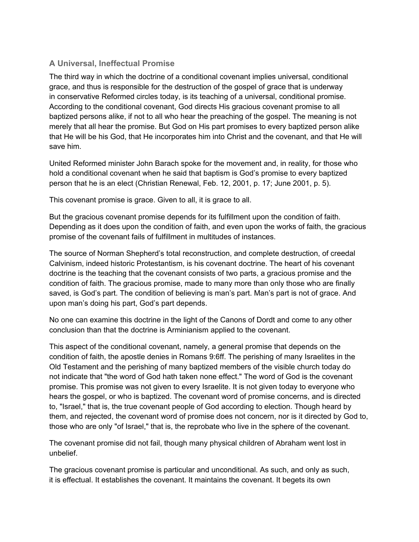## **A Universal, Ineffectual Promise**

The third way in which the doctrine of a conditional covenant implies universal, conditional grace, and thus is responsible for the destruction of the gospel of grace that is underway in conservative Reformed circles today, is its teaching of a universal, conditional promise. According to the conditional covenant, God directs His gracious covenant promise to all baptized persons alike, if not to all who hear the preaching of the gospel. The meaning is not merely that all hear the promise. But God on His part promises to every baptized person alike that He will be his God, that He incorporates him into Christ and the covenant, and that He will save him.

United Reformed minister John Barach spoke for the movement and, in reality, for those who hold a conditional covenant when he said that baptism is God's promise to every baptized person that he is an elect (Christian Renewal, Feb. 12, 2001, p. 17; June 2001, p. 5).

This covenant promise is grace. Given to all, it is grace to all.

But the gracious covenant promise depends for its fulfillment upon the condition of faith. Depending as it does upon the condition of faith, and even upon the works of faith, the gracious promise of the covenant fails of fulfillment in multitudes of instances.

The source of Norman Shepherd's total reconstruction, and complete destruction, of creedal Calvinism, indeed historic Protestantism, is his covenant doctrine. The heart of his covenant doctrine is the teaching that the covenant consists of two parts, a gracious promise and the condition of faith. The gracious promise, made to many more than only those who are finally saved, is God's part. The condition of believing is man's part. Man's part is not of grace. And upon man's doing his part, God's part depends.

No one can examine this doctrine in the light of the Canons of Dordt and come to any other conclusion than that the doctrine is Arminianism applied to the covenant.

This aspect of the conditional covenant, namely, a general promise that depends on the condition of faith, the apostle denies in Romans 9:6ff. The perishing of many Israelites in the Old Testament and the perishing of many baptized members of the visible church today do not indicate that "the word of God hath taken none effect." The word of God is the covenant promise. This promise was not given to every Israelite. It is not given today to everyone who hears the gospel, or who is baptized. The covenant word of promise concerns, and is directed to, "Israel," that is, the true covenant people of God according to election. Though heard by them, and rejected, the covenant word of promise does not concern, nor is it directed by God to, those who are only "of Israel," that is, the reprobate who live in the sphere of the covenant.

The covenant promise did not fail, though many physical children of Abraham went lost in unbelief.

The gracious covenant promise is particular and unconditional. As such, and only as such, it is effectual. It establishes the covenant. It maintains the covenant. It begets its own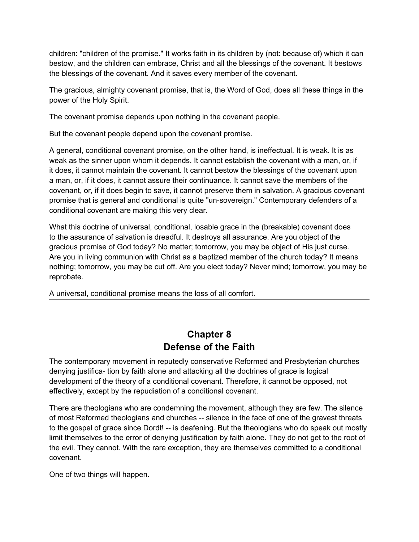<span id="page-29-0"></span>children: "children of the promise." It works faith in its children by (not: because of) which it can bestow, and the children can embrace, Christ and all the blessings of the covenant. It bestows the blessings of the covenant. And it saves every member of the covenant.

The gracious, almighty covenant promise, that is, the Word of God, does all these things in the power of the Holy Spirit.

The covenant promise depends upon nothing in the covenant people.

But the covenant people depend upon the covenant promise.

A general, conditional covenant promise, on the other hand, is ineffectual. It is weak. It is as weak as the sinner upon whom it depends. It cannot establish the covenant with a man, or, if it does, it cannot maintain the covenant. It cannot bestow the blessings of the covenant upon a man, or, if it does, it cannot assure their continuance. It cannot save the members of the covenant, or, if it does begin to save, it cannot preserve them in salvation. A gracious covenant promise that is general and conditional is quite "un-sovereign." Contemporary defenders of a conditional covenant are making this very clear.

What this doctrine of universal, conditional, losable grace in the (breakable) covenant does to the assurance of salvation is dreadful. It destroys all assurance. Are you object of the gracious promise of God today? No matter; tomorrow, you may be object of His just curse. Are you in living communion with Christ as a baptized member of the church today? It means nothing; tomorrow, you may be cut off. Are you elect today? Never mind; tomorrow, you may be reprobate.

A universal, conditional promise means the loss of all comfort.

# **Chapter 8 Defense of the Faith**

The contemporary movement in reputedly conservative Reformed and Presbyterian churches denying justifica- tion by faith alone and attacking all the doctrines of grace is logical development of the theory of a conditional covenant. Therefore, it cannot be opposed, not effectively, except by the repudiation of a conditional covenant.

There are theologians who are condemning the movement, although they are few. The silence of most Reformed theologians and churches -- silence in the face of one of the gravest threats to the gospel of grace since Dordt! -- is deafening. But the theologians who do speak out mostly limit themselves to the error of denying justification by faith alone. They do not get to the root of the evil. They cannot. With the rare exception, they are themselves committed to a conditional covenant.

One of two things will happen.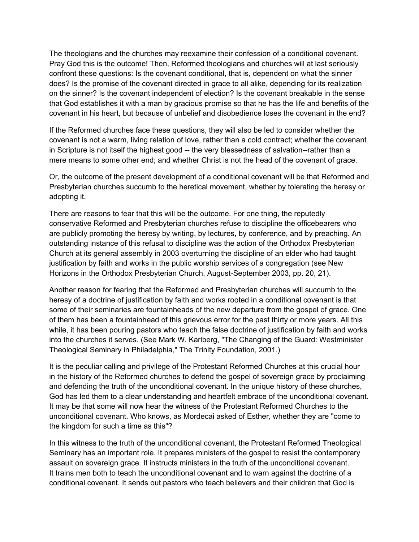The theologians and the churches may reexamine their confession of a conditional covenant. Pray God this is the outcome! Then, Reformed theologians and churches will at last seriously confront these questions: Is the covenant conditional, that is, dependent on what the sinner does? Is the promise of the covenant directed in grace to all alike, depending for its realization on the sinner? Is the covenant independent of election? Is the covenant breakable in the sense that God establishes it with a man by gracious promise so that he has the life and benefits of the covenant in his heart, but because of unbelief and disobedience loses the covenant in the end?

If the Reformed churches face these questions, they will also be led to consider whether the covenant is not a warm, living relation of love, rather than a cold contract; whether the covenant in Scripture is not itself the highest good -- the very blessedness of salvation--rather than a mere means to some other end; and whether Christ is not the head of the covenant of grace.

Or, the outcome of the present development of a conditional covenant will be that Reformed and Presbyterian churches succumb to the heretical movement, whether by tolerating the heresy or adopting it.

There are reasons to fear that this will be the outcome. For one thing, the reputedly conservative Reformed and Presbyterian churches refuse to discipline the officebearers who are publicly promoting the heresy by writing, by lectures, by conference, and by preaching. An outstanding instance of this refusal to discipline was the action of the Orthodox Presbyterian Church at its general assembly in 2003 overturning the discipline of an elder who had taught justification by faith and works in the public worship services of a congregation (see New Horizons in the Orthodox Presbyterian Church, August-September 2003, pp. 20, 21).

Another reason for fearing that the Reformed and Presbyterian churches will succumb to the heresy of a doctrine of justification by faith and works rooted in a conditional covenant is that some of their seminaries are fountainheads of the new departure from the gospel of grace. One of them has been a fountainhead of this grievous error for the past thirty or more years. All this while, it has been pouring pastors who teach the false doctrine of justification by faith and works into the churches it serves. (See Mark W. Karlberg, "The Changing of the Guard: Westminister Theological Seminary in Philadelphia," The Trinity Foundation, 2001.)

It is the peculiar calling and privilege of the Protestant Reformed Churches at this crucial hour in the history of the Reformed churches to defend the gospel of sovereign grace by proclaiming and defending the truth of the unconditional covenant. In the unique history of these churches, God has led them to a clear understanding and heartfelt embrace of the unconditional covenant. It may be that some will now hear the witness of the Protestant Reformed Churches to the unconditional covenant. Who knows, as Mordecai asked of Esther, whether they are "come to the kingdom for such a time as this"?

In this witness to the truth of the unconditional covenant, the Protestant Reformed Theological Seminary has an important role. It prepares ministers of the gospel to resist the contemporary assault on sovereign grace. It instructs ministers in the truth of the unconditional covenant. It trains men both to teach the unconditional covenant and to warn against the doctrine of a conditional covenant. It sends out pastors who teach believers and their children that God is